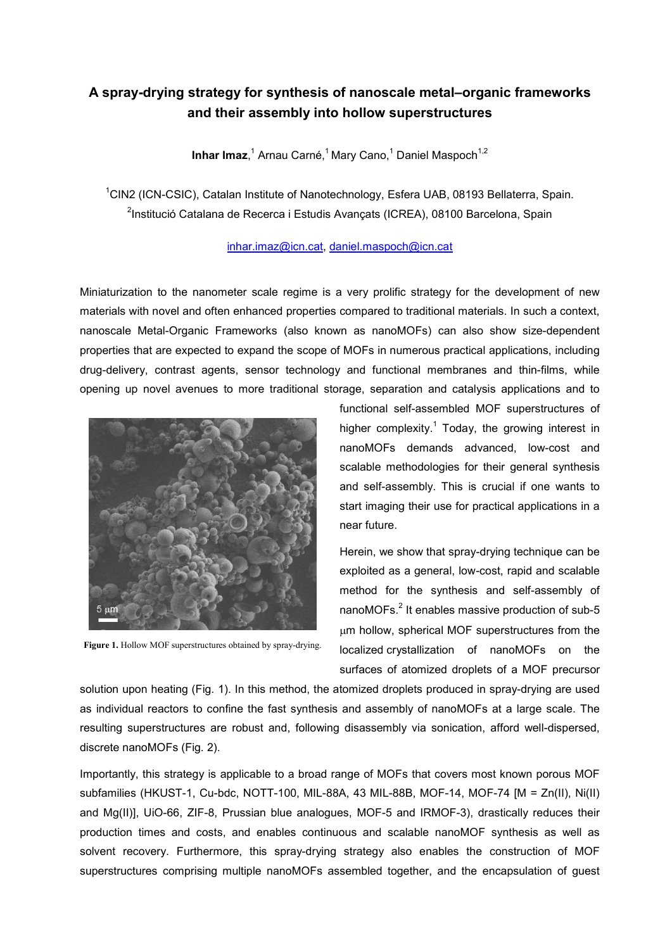## **A spray-drying strategy for synthesis of nanoscale metal–organic frameworks and their assembly into hollow superstructures**

**Inhar Imaz**,<sup>1</sup> Arnau Carné,<sup>1</sup> Mary Cano,<sup>1</sup> Daniel Maspoch<sup>1,2</sup>

<sup>1</sup>CIN2 (ICN-CSIC), Catalan Institute of Nanotechnology, Esfera UAB, 08193 Bellaterra, Spain. <sup>2</sup>Institució Catalana de Recerca i Estudis Avançats (ICREA), 08100 Barcelona, Spain

## [inhar.imaz@icn.cat,](mailto:inhar.imaz@icn.cat) [daniel.maspoch@icn.cat](mailto:daniel.maspoch@icn.cat)

Miniaturization to the nanometer scale regime is a very prolific strategy for the development of new materials with novel and often enhanced properties compared to traditional materials. In such a context, nanoscale Metal-Organic Frameworks (also known as nanoMOFs) can also show size-dependent properties that are expected to expand the scope of MOFs in numerous practical applications, including drug-delivery, contrast agents, sensor technology and functional membranes and thin-films, while opening up novel avenues to more traditional storage, separation and catalysis applications and to



**Figure 1.** Hollow MOF superstructures obtained by spray-drying.

functional self-assembled MOF superstructures of higher complexity.<sup>1</sup> Today, the growing interest in nanoMOFs demands advanced, low-cost and scalable methodologies for their general synthesis and self-assembly. This is crucial if one wants to start imaging their use for practical applications in a near future.

Herein, we show that spray-drying technique can be exploited as a general, low-cost, rapid and scalable method for the synthesis and self-assembly of nanoMOFs.<sup>2</sup> It enables massive production of sub-5 µm hollow, spherical MOF superstructures from the localized crystallization of nanoMOFs on the surfaces of atomized droplets of a MOF precursor

solution upon heating (Fig. 1). In this method, the atomized droplets produced in spray-drying are used as individual reactors to confine the fast synthesis and assembly of nanoMOFs at a large scale. The resulting superstructures are robust and, following disassembly via sonication, afford well-dispersed, discrete nanoMOFs (Fig. 2).

Importantly, this strategy is applicable to a broad range of MOFs that covers most known porous MOF subfamilies (HKUST-1, Cu-bdc, NOTT-100, MIL-88A, 43 MIL-88B, MOF-14, MOF-74 [M = Zn(II), Ni(II) and Mg(II)], UiO-66, ZIF-8, Prussian blue analogues, MOF-5 and IRMOF-3), drastically reduces their production times and costs, and enables continuous and scalable nanoMOF synthesis as well as solvent recovery. Furthermore, this spray-drying strategy also enables the construction of MOF superstructures comprising multiple nanoMOFs assembled together, and the encapsulation of guest